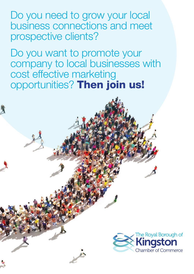Do you need to grow your local business connections and meet prospective clients?

Do you want to promote your company to local businesses with cost effective marketing opportunities? Then join us!

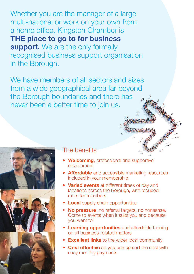Whether you are the manager of a large multi-national or work on your own from a home office, Kingston Chamber is **THE place to go to for business support.** We are the only formally recognised business support organisation in the Borough.

We have members of all sectors and sizes from a wide geographical area far beyond the Borough boundaries and there has never been a better time to join us.



### The benefits

- **Welcoming**, professional and supportive environment
- **Affordable** and accessible marketing resources included in your membership
- **Varied events** at different times of day and locations across the Borough, with reduced rates for members
- **Local** supply chain opportunities
- **No pressure**, no referral targets, no nonsense. Come to events when it suits you and because you want to!
- **Learning opportunities** and affordable training on all business-related matters
- **Excellent links** to the wider local community
- **Cost effective** so you can spread the cost with easy monthly payments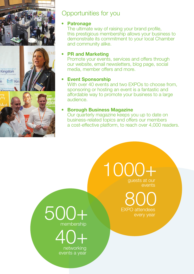

## Opportunities for you

#### • **Patronage**

The ultimate way of raising your brand profile, this prestigious membership allows your business to demonstrate its commitment to your local Chamber and community alike.

#### **• PR and Marketing**

Promote your events, services and offers through our website, email newsletters, blog page, social media, member offers and more.

#### **• Event Sponsorship**

With over 40 events and two EXPOs to choose from, sponsoring or hosting an event is a fantastic and affordable way to promote your business to a large audience.

#### **• Borough Business Magazine**

Our quarterly magazine keeps you up to date on business-related topics and offers our members a cost-effective platform, to reach over 4,000 readers.

> 1000+ guests at our events

> > **EXPO** attendees

 $500+$  expo attendees every year membership



events a year